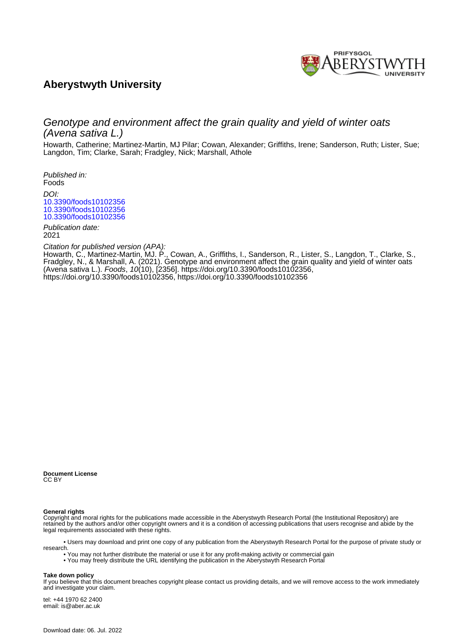

# **Aberystwyth University**

# Genotype and environment affect the grain quality and yield of winter oats (Avena sativa L.)

Howarth, Catherine; Martinez-Martin, MJ Pilar; Cowan, Alexander; Griffiths, Irene; Sanderson, Ruth; Lister, Sue; Langdon, Tim; Clarke, Sarah; Fradgley, Nick; Marshall, Athole

Published in: Foods DOI: [10.3390/foods10102356](https://doi.org/10.3390/foods10102356) [10.3390/foods10102356](https://doi.org/10.3390/foods10102356) [10.3390/foods10102356](https://doi.org/10.3390/foods10102356)

Publication date: 2021

Citation for published version (APA):

[Howarth, C.](https://pure.aber.ac.uk/portal/en/persons/catherine-howarth(80994f37-6e05-40d1-91d2-4cecab55f5cd).html)[, Martinez-Martin, MJ. P.](https://pure.aber.ac.uk/portal/en/persons/mj-pilar-martinezmartin(592e96d7-8c31-44f2-a14e-4c7f42609a53).html)[, Cowan, A.](https://pure.aber.ac.uk/portal/en/persons/sandy-cowan(0bfb3673-3cff-4182-ab99-2dbbf2b3981d).html)[, Griffiths, I.](https://pure.aber.ac.uk/portal/en/persons/irene-griffiths(9bac7cc4-31d3-40c5-a793-f1d5c2a913d2).html)[, Sanderson, R.](https://pure.aber.ac.uk/portal/en/persons/ruth-sanderson(e800faf6-e2cb-4852-9138-fddd9e8b5271).html)[, Lister, S.](https://pure.aber.ac.uk/portal/en/persons/sue-lister(a6729b5c-d851-4d0a-b6e1-4dc066c2a466).html)[, Langdon, T.,](https://pure.aber.ac.uk/portal/en/persons/tim-langdon(95381842-9f05-4e0c-ae97-01d6ec0eb845).html) Clarke, S., Fradgley, N[., & Marshall, A.](https://pure.aber.ac.uk/portal/en/persons/athole-marshall(8d31818f-bad0-42bf-83e5-b5be2feebb16).html) (2021). [Genotype and environment affect the grain quality and yield of winter oats](https://pure.aber.ac.uk/portal/en/publications/genotype-and-environment-affect-the-grain-quality-and-yield-of-winter-oats-avena-sativa-l(7776a52c-c9f6-4b43-b6a1-011cd3d384b7).html) [\(Avena sativa L.\)](https://pure.aber.ac.uk/portal/en/publications/genotype-and-environment-affect-the-grain-quality-and-yield-of-winter-oats-avena-sativa-l(7776a52c-c9f6-4b43-b6a1-011cd3d384b7).html). Foods, 10(10), [2356]. [https://doi.org/10.3390/foods10102356,](https://doi.org/10.3390/foods10102356) <https://doi.org/10.3390/foods10102356>, <https://doi.org/10.3390/foods10102356>

**Document License** CC BY

#### **General rights**

Copyright and moral rights for the publications made accessible in the Aberystwyth Research Portal (the Institutional Repository) are retained by the authors and/or other copyright owners and it is a condition of accessing publications that users recognise and abide by the legal requirements associated with these rights.

 • Users may download and print one copy of any publication from the Aberystwyth Research Portal for the purpose of private study or research.

• You may not further distribute the material or use it for any profit-making activity or commercial gain

• You may freely distribute the URL identifying the publication in the Aberystwyth Research Portal

#### **Take down policy**

If you believe that this document breaches copyright please contact us providing details, and we will remove access to the work immediately and investigate your claim.

tel: +44 1970 62 2400 email: is@aber.ac.uk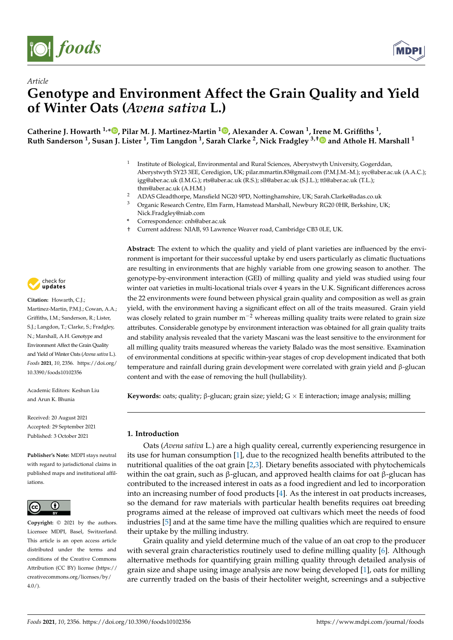

*Article*



# **Genotype and Environment Affect the Grain Quality and Yield of Winter Oats (***Avena sativa* **L.)**

**Catherine J. Howarth 1,[\\*](https://orcid.org/0000-0001-9364-0880) , Pilar M. J. Martinez-Martin <sup>1</sup> [,](https://orcid.org/0000-0002-5859-6113) Alexander A. Cowan <sup>1</sup> , I[ren](https://orcid.org/0000-0002-7868-8795)e M. Griffiths <sup>1</sup> , Ruth Sanderson <sup>1</sup> , Susan J. Lister <sup>1</sup> , Tim Langdon <sup>1</sup> , Sarah Clarke <sup>2</sup> , Nick Fradgley 3,† and Athole H. Marshall <sup>1</sup>**

- 1 Institute of Biological, Environmental and Rural Sciences, Aberystwyth University, Gogerddan, Aberystwyth SY23 3EE, Ceredigion, UK; pilar.mmartin.83@gmail.com (P.M.J.M.-M.); syc@aber.ac.uk (A.A.C.); igg@aber.ac.uk (I.M.G.); rts@aber.ac.uk (R.S.); sll@aber.ac.uk (S.J.L.); ttl@aber.ac.uk (T.L.); thm@aber.ac.uk (A.H.M.)
- 2 ADAS Gleadthorpe, Mansfield NG20 9PD, Nottinghamshire, UK; Sarah.Clarke@adas.co.uk<br>3 Organis Besearch Contro Elm Farm Hamstead Marshall Naubury BC20.0HB, Berkehire, I
- <sup>3</sup> Organic Research Centre, Elm Farm, Hamstead Marshall, Newbury RG20 0HR, Berkshire, UK; Nick.Fradgley@niab.com
- **\*** Correspondence: cnh@aber.ac.uk
- † Current address: NIAB, 93 Lawrence Weaver road, Cambridge CB3 0LE, UK.

**Abstract:** The extent to which the quality and yield of plant varieties are influenced by the environment is important for their successful uptake by end users particularly as climatic fluctuations are resulting in environments that are highly variable from one growing season to another. The genotype-by-environment interaction (GEI) of milling quality and yield was studied using four winter oat varieties in multi-locational trials over 4 years in the U.K. Significant differences across the 22 environments were found between physical grain quality and composition as well as grain yield, with the environment having a significant effect on all of the traits measured. Grain yield was closely related to grain number  $m^{-2}$  whereas milling quality traits were related to grain size attributes. Considerable genotype by environment interaction was obtained for all grain quality traits and stability analysis revealed that the variety Mascani was the least sensitive to the environment for all milling quality traits measured whereas the variety Balado was the most sensitive. Examination of environmental conditions at specific within-year stages of crop development indicated that both temperature and rainfall during grain development were correlated with grain yield and β-glucan content and with the ease of removing the hull (hullability).

**Keywords:** oats; quality; β-glucan; grain size; yield; G × E interaction; image analysis; milling

# **1. Introduction**

Oats (*Avena sativa* L.) are a high quality cereal, currently experiencing resurgence in its use for human consumption [\[1\]](#page-12-0), due to the recognized health benefits attributed to the nutritional qualities of the oat grain [\[2](#page-12-1)[,3\]](#page-12-2). Dietary benefits associated with phytochemicals within the oat grain, such as β-glucan, and approved health claims for oat β-glucan has contributed to the increased interest in oats as a food ingredient and led to incorporation into an increasing number of food products [\[4\]](#page-12-3). As the interest in oat products increases, so the demand for raw materials with particular health benefits requires oat breeding programs aimed at the release of improved oat cultivars which meet the needs of food industries [\[5\]](#page-12-4) and at the same time have the milling qualities which are required to ensure their uptake by the milling industry.

Grain quality and yield determine much of the value of an oat crop to the producer with several grain characteristics routinely used to define milling quality [\[6\]](#page-12-5). Although alternative methods for quantifying grain milling quality through detailed analysis of grain size and shape using image analysis are now being developed [\[1\]](#page-12-0), oats for milling are currently traded on the basis of their hectoliter weight, screenings and a subjective



**Citation:** Howarth, C.J.; Martinez-Martin, P.M.J.; Cowan, A.A.; Griffiths, I.M.; Sanderson, R.; Lister, S.J.; Langdon, T.; Clarke, S.; Fradgley, N.; Marshall, A.H. Genotype and Environment Affect the Grain Quality and Yield of Winter Oats (*Avena sativa* L.). *Foods* **2021**, *10*, 2356. [https://doi.org/](https://doi.org/10.3390/foods10102356) [10.3390/foods10102356](https://doi.org/10.3390/foods10102356)

Academic Editors: Keshun Liu and Arun K. Bhunia

Received: 20 August 2021 Accepted: 29 September 2021 Published: 3 October 2021

**Publisher's Note:** MDPI stays neutral with regard to jurisdictional claims in published maps and institutional affiliations.



**Copyright:** © 2021 by the authors. Licensee MDPI, Basel, Switzerland. This article is an open access article distributed under the terms and conditions of the Creative Commons Attribution (CC BY) license (https:/[/](https://creativecommons.org/licenses/by/4.0/) [creativecommons.org/licenses/by/](https://creativecommons.org/licenses/by/4.0/)  $4.0/$ ).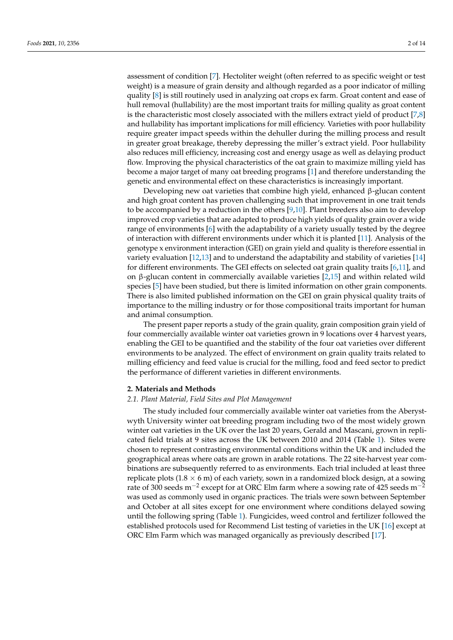assessment of condition [\[7\]](#page-12-6). Hectoliter weight (often referred to as specific weight or test weight) is a measure of grain density and although regarded as a poor indicator of milling quality [\[8\]](#page-12-7) is still routinely used in analyzing oat crops ex farm. Groat content and ease of hull removal (hullability) are the most important traits for milling quality as groat content is the characteristic most closely associated with the millers extract yield of product [\[7](#page-12-6)[,8\]](#page-12-7) and hullability has important implications for mill efficiency. Varieties with poor hullability require greater impact speeds within the dehuller during the milling process and result in greater groat breakage, thereby depressing the miller's extract yield. Poor hullability also reduces mill efficiency, increasing cost and energy usage as well as delaying product flow. Improving the physical characteristics of the oat grain to maximize milling yield has become a major target of many oat breeding programs [\[1\]](#page-12-0) and therefore understanding the genetic and environmental effect on these characteristics is increasingly important.

Developing new oat varieties that combine high yield, enhanced  $\beta$ -glucan content and high groat content has proven challenging such that improvement in one trait tends to be accompanied by a reduction in the others [\[9](#page-12-8)[,10\]](#page-13-0). Plant breeders also aim to develop improved crop varieties that are adapted to produce high yields of quality grain over a wide range of environments  $[6]$  with the adaptability of a variety usually tested by the degree of interaction with different environments under which it is planted [\[11\]](#page-13-1). Analysis of the genotype x environment interaction (GEI) on grain yield and quality is therefore essential in variety evaluation [\[12,](#page-13-2)[13\]](#page-13-3) and to understand the adaptability and stability of varieties [\[14\]](#page-13-4) for different environments. The GEI effects on selected oat grain quality traits [\[6](#page-12-5)[,11\]](#page-13-1), and on β-glucan content in commercially available varieties [\[2](#page-12-1)[,15\]](#page-13-5) and within related wild species [\[5\]](#page-12-4) have been studied, but there is limited information on other grain components. There is also limited published information on the GEI on grain physical quality traits of importance to the milling industry or for those compositional traits important for human and animal consumption.

The present paper reports a study of the grain quality, grain composition grain yield of four commercially available winter oat varieties grown in 9 locations over 4 harvest years, enabling the GEI to be quantified and the stability of the four oat varieties over different environments to be analyzed. The effect of environment on grain quality traits related to milling efficiency and feed value is crucial for the milling, food and feed sector to predict the performance of different varieties in different environments.

#### **2. Materials and Methods**

#### *2.1. Plant Material, Field Sites and Plot Management*

The study included four commercially available winter oat varieties from the Aberystwyth University winter oat breeding program including two of the most widely grown winter oat varieties in the UK over the last 20 years, Gerald and Mascani, grown in replicated field trials at 9 sites across the UK between 2010 and 2014 (Table [1\)](#page-3-0). Sites were chosen to represent contrasting environmental conditions within the UK and included the geographical areas where oats are grown in arable rotations. The 22 site-harvest year combinations are subsequently referred to as environments. Each trial included at least three replicate plots  $(1.8 \times 6 \text{ m})$  of each variety, sown in a randomized block design, at a sowing rate of 300 seeds m<sup>-2</sup> except for at ORC Elm farm where a sowing rate of 425 seeds m<sup>-2</sup> was used as commonly used in organic practices. The trials were sown between September and October at all sites except for one environment where conditions delayed sowing until the following spring (Table [1\)](#page-3-0). Fungicides, weed control and fertilizer followed the established protocols used for Recommend List testing of varieties in the UK [\[16\]](#page-13-6) except at ORC Elm Farm which was managed organically as previously described [\[17\]](#page-13-7).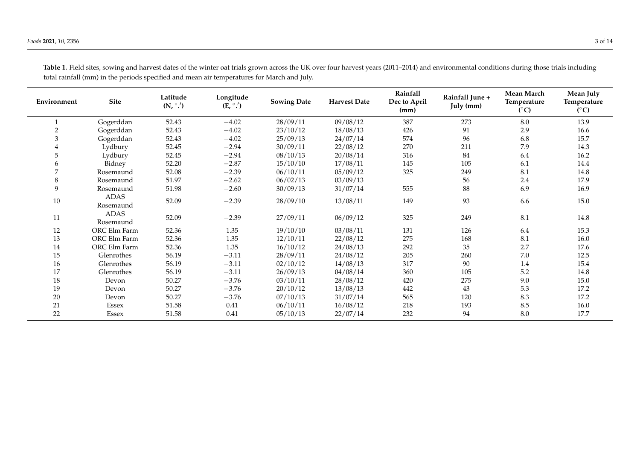<span id="page-3-0"></span>

| Environment | Site              | Latitude<br>$(N, \degree')$ | Longitude<br>$(E, \degree \cdot')$ | <b>Sowing Date</b> | <b>Harvest Date</b> | Rainfall<br>Dec to April<br>(mm) | Rainfall June +<br>July (mm) | Mean March<br>Temperature<br>$(^{\circ}C)$ | Mean July<br>Temperature<br>$(^{\circ}C)$ |
|-------------|-------------------|-----------------------------|------------------------------------|--------------------|---------------------|----------------------------------|------------------------------|--------------------------------------------|-------------------------------------------|
|             | Gogerddan         | 52.43                       | $-4.02$                            | 28/09/11           | 09/08/12            | 387                              | 273                          | 8.0                                        | 13.9                                      |
| 2           | Gogerddan         | 52.43                       | $-4.02$                            | 23/10/12           | 18/08/13            | 426                              | 91                           | 2.9                                        | 16.6                                      |
| 3           | Gogerddan         | 52.43                       | $-4.02$                            | 25/09/13           | 24/07/14            | 574                              | 96                           | 6.8                                        | 15.7                                      |
| 4           | Lydbury           | 52.45                       | $-2.94$                            | 30/09/11           | 22/08/12            | 270                              | 211                          | 7.9                                        | 14.3                                      |
| 5           | Lydbury           | 52.45                       | $-2.94$                            | 08/10/13           | 20/08/14            | 316                              | 84                           | 6.4                                        | 16.2                                      |
| 6           | Bidney            | 52.20                       | $-2.87$                            | 15/10/10           | 17/08/11            | 145                              | 105                          | 6.1                                        | 14.4                                      |
|             | Rosemaund         | 52.08                       | $-2.39$                            | 06/10/11           | 05/09/12            | 325                              | 249                          | 8.1                                        | 14.8                                      |
| 8           | Rosemaund         | 51.97                       | $-2.62$                            | 06/02/13           | 03/09/13            |                                  | 56                           | 2.4                                        | 17.9                                      |
| 9           | Rosemaund         | 51.98                       | $-2.60$                            | 30/09/13           | 31/07/14            | 555                              | 88                           | 6.9                                        | 16.9                                      |
| 10          | ADAS<br>Rosemaund | 52.09                       | $-2.39$                            | 28/09/10           | 13/08/11            | 149                              | 93                           | 6.6                                        | 15.0                                      |
| 11          | ADAS<br>Rosemaund | 52.09                       | $-2.39$                            | 27/09/11           | 06/09/12            | 325                              | 249                          | 8.1                                        | 14.8                                      |
| 12          | ORC Elm Farm      | 52.36                       | 1.35                               | 19/10/10           | 03/08/11            | 131                              | 126                          | 6.4                                        | 15.3                                      |
| 13          | ORC Elm Farm      | 52.36                       | 1.35                               | 12/10/11           | 22/08/12            | 275                              | 168                          | 8.1                                        | 16.0                                      |
| $14\,$      | ORC Elm Farm      | 52.36                       | 1.35                               | 16/10/12           | 24/08/13            | 292                              | 35                           | 2.7                                        | 17.6                                      |
| 15          | Glenrothes        | 56.19                       | $-3.11$                            | 28/09/11           | 24/08/12            | 205                              | 260                          | 7.0                                        | 12.5                                      |
| 16          | Glenrothes        | 56.19                       | $-3.11$                            | 02/10/12           | 14/08/13            | 317                              | 90                           | 1.4                                        | 15.4                                      |
| 17          | Glenrothes        | 56.19                       | $-3.11$                            | 26/09/13           | 04/08/14            | 360                              | 105                          | $5.2\,$                                    | 14.8                                      |
| 18          | Devon             | 50.27                       | $-3.76$                            | 03/10/11           | 28/08/12            | 420                              | 275                          | 9.0                                        | 15.0                                      |
| 19          | Devon             | 50.27                       | $-3.76$                            | 20/10/12           | 13/08/13            | 442                              | 43                           | 5.3                                        | 17.2                                      |
| 20          | Devon             | 50.27                       | $-3.76$                            | 07/10/13           | 31/07/14            | 565                              | 120                          | 8.3                                        | 17.2                                      |
| 21          | Essex             | 51.58                       | 0.41                               | 06/10/11           | 16/08/12            | 218                              | 193                          | 8.5                                        | 16.0                                      |
| 22          | Essex             | 51.58                       | 0.41                               | 05/10/13           | 22/07/14            | 232                              | 94                           | 8.0                                        | 17.7                                      |

**Table 1.** Field sites, sowing and harvest dates of the winter oat trials grown across the UK over four harvest years (2011–2014) and environmental conditions during those trials including total rainfall (mm) in the periods specified and mean air temperatures for March and July.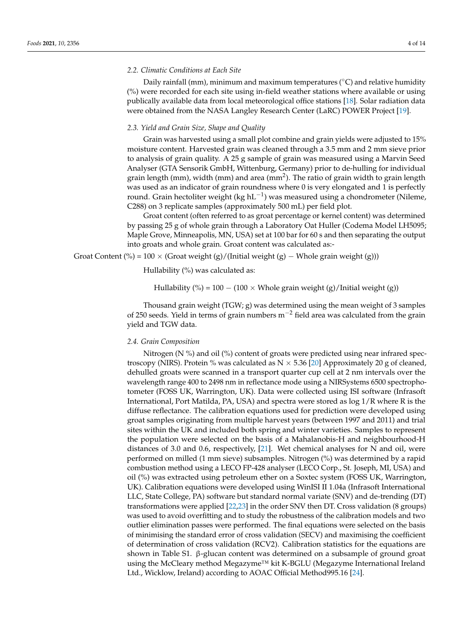#### *2.2. Climatic Conditions at Each Site*

Daily rainfall (mm), minimum and maximum temperatures ( $°C$ ) and relative humidity (%) were recorded for each site using in-field weather stations where available or using publically available data from local meteorological office stations [\[18\]](#page-13-8). Solar radiation data were obtained from the NASA Langley Research Center (LaRC) POWER Project [\[19\]](#page-13-9).

## *2.3. Yield and Grain Size, Shape and Quality*

Grain was harvested using a small plot combine and grain yields were adjusted to 15% moisture content. Harvested grain was cleaned through a 3.5 mm and 2 mm sieve prior to analysis of grain quality. A 25 g sample of grain was measured using a Marvin Seed Analyser (GTA Sensorik GmbH, Wittenburg, Germany) prior to de-hulling for individual grain length (mm), width (mm) and area (mm<sup>2</sup>). The ratio of grain width to grain length was used as an indicator of grain roundness where 0 is very elongated and 1 is perfectly round. Grain hectoliter weight (kg hL<sup>-1</sup>) was measured using a chondrometer (Nileme, C288) on 3 replicate samples (approximately 500 mL) per field plot.

Groat content (often referred to as groat percentage or kernel content) was determined by passing 25 g of whole grain through a Laboratory Oat Huller (Codema Model LH5095; Maple Grove, Minneapolis, MN, USA) set at 100 bar for 60 s and then separating the output into groats and whole grain. Groat content was calculated as:-

Groat Content (%) = 100 × (Groat weight (g)/(Initial weight (g) – Whole grain weight (g)))

Hullability (%) was calculated as:

Hullability (%) = 100 – (100 × Whole grain weight (g)/Initial weight (g))

Thousand grain weight  $(TGW; g)$  was determined using the mean weight of 3 samples of 250 seeds. Yield in terms of grain numbers m−<sup>2</sup> field area was calculated from the grain yield and TGW data.

#### *2.4. Grain Composition*

Nitrogen ( $N$ %) and oil (%) content of groats were predicted using near infrared spectroscopy (NIRS). Protein % was calculated as  $N \times 5.36$  [\[20\]](#page-13-10) Approximately 20 g of cleaned, dehulled groats were scanned in a transport quarter cup cell at 2 nm intervals over the wavelength range 400 to 2498 nm in reflectance mode using a NIRSystems 6500 spectrophotometer (FOSS UK, Warrington, UK). Data were collected using ISI software (Infrasoft International, Port Matilda, PA, USA) and spectra were stored as log 1/R where R is the diffuse reflectance. The calibration equations used for prediction were developed using groat samples originating from multiple harvest years (between 1997 and 2011) and trial sites within the UK and included both spring and winter varieties. Samples to represent the population were selected on the basis of a Mahalanobis-H and neighbourhood-H distances of 3.0 and 0.6, respectively, [\[21\]](#page-13-11). Wet chemical analyses for N and oil, were performed on milled (1 mm sieve) subsamples. Nitrogen (%) was determined by a rapid combustion method using a LECO FP-428 analyser (LECO Corp., St. Joseph, MI, USA) and oil (%) was extracted using petroleum ether on a Soxtec system (FOSS UK, Warrington, UK). Calibration equations were developed using WinISI II 1.04a (Infrasoft International LLC, State College, PA) software but standard normal variate (SNV) and de-trending (DT) transformations were applied [\[22,](#page-13-12)[23\]](#page-13-13) in the order SNV then DT. Cross validation (8 groups) was used to avoid overfitting and to study the robustness of the calibration models and two outlier elimination passes were performed. The final equations were selected on the basis of minimising the standard error of cross validation (SECV) and maximising the coefficient of determination of cross validation (RCV2). Calibration statistics for the equations are shown in Table S1. β-glucan content was determined on a subsample of ground groat using the McCleary method Megazyme™ kit K-BGLU (Megazyme International Ireland Ltd., Wicklow, Ireland) according to AOAC Official Method995.16 [\[24\]](#page-13-14).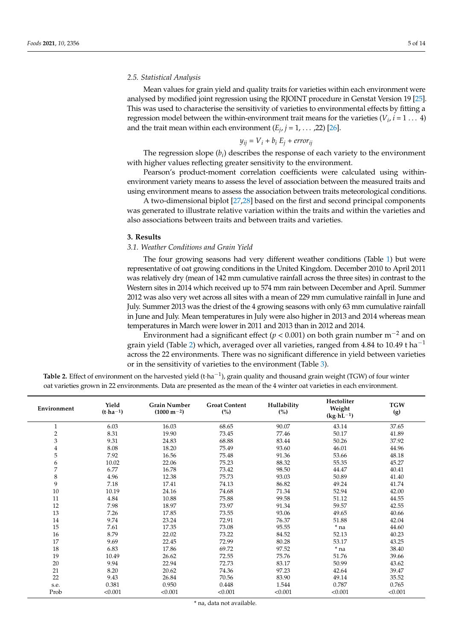#### *2.5. Statistical Analysis*

Mean values for grain yield and quality traits for varieties within each environment were analysed by modified joint regression using the RJOINT procedure in Genstat Version 19 [\[25\]](#page-13-15). This was used to characterise the sensitivity of varieties to environmental effects by fitting a regression model between the within-environment trait means for the varieties ( $V_i$ ,  $i = 1 \ldots 4$ ) and the trait mean within each environment  $(E_j, j = 1, \ldots, 22)$  [\[26\]](#page-13-16).

$$
y_{ij} = V_i + b_i E_j + error_{ij}
$$

The regression slope (*b<sup>i</sup>* ) describes the response of each variety to the environment with higher values reflecting greater sensitivity to the environment.

Pearson's product-moment correlation coefficients were calculated using withinenvironment variety means to assess the level of association between the measured traits and using environment means to assess the association between traits meteorological conditions.

A two-dimensional biplot [\[27,](#page-13-17)[28\]](#page-13-18) based on the first and second principal components was generated to illustrate relative variation within the traits and within the varieties and also associations between traits and between traits and varieties.

#### **3. Results**

#### *3.1. Weather Conditions and Grain Yield*

The four growing seasons had very different weather conditions (Table [1\)](#page-3-0) but were representative of oat growing conditions in the United Kingdom. December 2010 to April 2011 was relatively dry (mean of 142 mm cumulative rainfall across the three sites) in contrast to the Western sites in 2014 which received up to 574 mm rain between December and April. Summer 2012 was also very wet across all sites with a mean of 229 mm cumulative rainfall in June and July. Summer 2013 was the driest of the 4 growing seasons with only 63 mm cumulative rainfall in June and July. Mean temperatures in July were also higher in 2013 and 2014 whereas mean temperatures in March were lower in 2011 and 2013 than in 2012 and 2014.

Environment had a significant effect ( $p < 0.001$ ) on both grain number m<sup>-2</sup> and on grain yield (Table [2\)](#page-5-0) which, averaged over all varieties, ranged from 4.84 to 10.49 t ha<sup>-1</sup> across the 22 environments. There was no significant difference in yield between varieties or in the sensitivity of varieties to the environment (Table [3\)](#page-6-0).

<span id="page-5-0"></span>Table 2. Effect of environment on the harvested yield (t·ha<sup>-1</sup>), grain quality and thousand grain weight (TGW) of four winter oat varieties grown in 22 environments. Data are presented as the mean of the 4 winter oat varieties in each environment.

| Environment    | Yield<br>$(t \cdot ha^{-1})$ | <b>Grain Number</b><br>$(1000 \text{ m}^{-2})$ | <b>Groat Content</b><br>(%) | Hullability<br>(%) | Hectoliter<br>Weight<br>$(kg \cdot hL^{-1})$ | <b>TGW</b><br>(g) |
|----------------|------------------------------|------------------------------------------------|-----------------------------|--------------------|----------------------------------------------|-------------------|
| $\mathbf{1}$   | 6.03                         | 16.03                                          | 68.65                       | 90.07              | 43.14                                        | 37.65             |
| $\overline{2}$ | 8.31                         | 19.90                                          | 73.45                       | 77.46              | 50.17                                        | 41.89             |
| 3              | 9.31                         | 24.83                                          | 68.88                       | 83.44              | 50.26                                        | 37.92             |
| 4              | 8.08                         | 18.20                                          | 75.49                       | 93.60              | 46.01                                        | 44.96             |
| 5              | 7.92                         | 16.56                                          | 75.48                       | 91.36              | 53.66                                        | 48.18             |
| 6              | 10.02                        | 22.06                                          | 75.23                       | 88.32              | 55.35                                        | 45.27             |
| 7              | 6.77                         | 16.78                                          | 73.42                       | 98.50              | 44.47                                        | 40.41             |
| 8              | 4.96                         | 12.38                                          | 75.73                       | 93.03              | 50.89                                        | 41.40             |
| 9              | 7.18                         | 17.41                                          | 74.13                       | 86.82              | 49.24                                        | 41.74             |
| 10             | 10.19                        | 24.16                                          | 74.68                       | 71.34              | 52.94                                        | 42.00             |
| 11             | 4.84                         | 10.88                                          | 75.88                       | 99.58              | 51.12                                        | 44.55             |
| 12             | 7.98                         | 18.97                                          | 73.97                       | 91.34              | 59.57                                        | 42.55             |
| 13             | 7.26                         | 17.85                                          | 73.55                       | 93.06              | 49.65                                        | 40.66             |
| 14             | 9.74                         | 23.24                                          | 72.91                       | 76.37              | 51.88                                        | 42.04             |
| 15             | 7.61                         | 17.35                                          | 73.08                       | 95.55              | * na                                         | 44.60             |
| $16\,$         | 8.79                         | 22.02                                          | 73.22                       | 84.52              | 52.13                                        | 40.23             |
| 17             | 9.69                         | 22.45                                          | 72.99                       | 80.28              | 53.17                                        | 43.25             |
| 18             | 6.83                         | 17.86                                          | 69.72                       | 97.52              | * na                                         | 38.40             |
| 19             | 10.49                        | 26.62                                          | 72.55                       | 75.76              | 51.76                                        | 39.66             |
| 20             | 9.94                         | 22.94                                          | 72.73                       | 83.17              | 50.99                                        | 43.62             |
| 21             | 8.20                         | 20.62                                          | 74.36                       | 97.23              | 42.64                                        | 39.47             |
| 22             | 9.43                         | 26.84                                          | 70.56                       | 83.90              | 49.14                                        | 35.52             |
| s.e.           | 0.381                        | 0.950                                          | 0.448                       | 1.544              | 0.787                                        | 0.765             |
| Prob           | < 0.001                      | < 0.001                                        | < 0.001                     | < 0.001            | < 0.001                                      | < 0.001           |

\* na, data not available.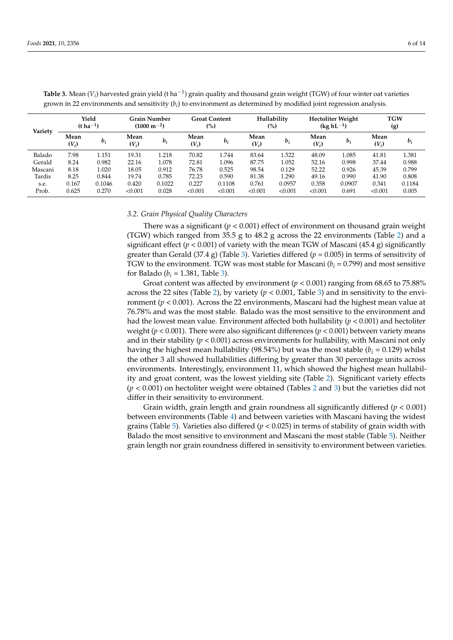| Variety | Yield<br>$(t \, ha^{-1})$ |        | <b>Grain Number</b><br>$(1000 \text{ m}^{-2})$ |        | <b>Groat Content</b><br>(%) |         | Hullability<br>$\binom{0}{0}$ |         | <b>Hectoliter Weight</b><br>$(kg hL^{-1})$ |        | <b>TGW</b><br>(g) |        |
|---------|---------------------------|--------|------------------------------------------------|--------|-----------------------------|---------|-------------------------------|---------|--------------------------------------------|--------|-------------------|--------|
|         | Mean<br>$(V_i)$           | $b_i$  | Mean<br>$(V_i)$                                | $b_i$  | Mean<br>$(V_i)$             | $b_i$   | Mean<br>$(V_i)$               | $b_i$   | Mean<br>$(V_i)$                            | $b_i$  | Mean<br>$(V_i)$   | $b_i$  |
| Balado  | 7.98                      | 1.151  | 19.31                                          | 1.218  | 70.82                       | .744    | 83.64                         | 1.522   | 48.09                                      | 1.085  | 41.81             | 1.381  |
| Gerald  | 8.24                      | 0.982  | 22.16                                          | 1.078  | 72.81                       | .096    | 87.75                         | 1.052   | 52.16                                      | 0.998  | 37.44             | 0.988  |
| Mascani | 8.18                      | 1.020  | 18.05                                          | 0.912  | 76.78                       | 0.525   | 98.54                         | 0.129   | 52.22                                      | 0.926  | 45.39             | 0.799  |
| Tardis  | 8.25                      | 0.844  | 19.74                                          | 0.785  | 72.23                       | 0.590   | 81.38                         | 1.290   | 49.16                                      | 0.990  | 41.90             | 0.808  |
| s.e.    | 0.167                     | 0.1046 | 0.420                                          | 0.1022 | 0.227                       | 0.1108  | 0.761                         | 0.0957  | 0.358                                      | 0.0907 | 0.341             | 0.1184 |
| Prob.   | 0.625                     | 0.270  | < 0.001                                        | 0.028  | < 0.001                     | < 0.001 | < 0.001                       | < 0.001 | < 0.001                                    | 0.691  | < 0.001           | 0.005  |

<span id="page-6-0"></span>**Table 3.** Mean ( $V_i$ ) harvested grain yield (t ha $^{-1}$ ) grain quality and thousand grain weight (TGW) of four winter oat varieties grown in 22 environments and sensitivity  $(b_i)$  to environment as determined by modified joint regression analysis.

## *3.2. Grain Physical Quality Characters*

There was a significant  $(p < 0.001)$  effect of environment on thousand grain weight (TGW) which ranged from 35.5 g to 48.2 g across the 22 environments (Table [2\)](#page-5-0) and a significant effect ( $p < 0.001$ ) of variety with the mean TGW of Mascani (45.4 g) significantly greater than Gerald (37.4 g) (Table [3\)](#page-6-0). Varieties differed ( $p = 0.005$ ) in terms of sensitivity of TGW to the environment. TGW was most stable for Mascani  $(b_i = 0.799)$  and most sensitive for Balado ( $b_i = 1.381$ , Table [3\)](#page-6-0).

Groat content was affected by environment ( $p < 0.001$ ) ranging from 68.65 to 75.88% across the 22 sites (Table [2\)](#page-5-0), by variety ( $p < 0.001$ , Table [3\)](#page-6-0) and in sensitivity to the environment (*p* < 0.001). Across the 22 environments, Mascani had the highest mean value at 76.78% and was the most stable. Balado was the most sensitive to the environment and had the lowest mean value. Environment affected both hullability  $(p < 0.001)$  and hectoliter weight ( $p < 0.001$ ). There were also significant differences ( $p < 0.001$ ) between variety means and in their stability ( $p < 0.001$ ) across environments for hullability, with Mascani not only having the highest mean hullability (98.54%) but was the most stable ( $b_i = 0.129$ ) whilst the other 3 all showed hullabilities differing by greater than 30 percentage units across environments. Interestingly, environment 11, which showed the highest mean hullability and groat content, was the lowest yielding site (Table [2\)](#page-5-0). Significant variety effects (*p* < 0.001) on hectoliter weight were obtained (Tables [2](#page-5-0) and [3\)](#page-6-0) but the varieties did not differ in their sensitivity to environment.

Grain width, grain length and grain roundness all significantly differed (*p* < 0.001) between environments (Table [4\)](#page-7-0) and between varieties with Mascani having the widest grains (Table [5\)](#page-7-1). Varieties also differed (*p* < 0.025) in terms of stability of grain width with Balado the most sensitive to environment and Mascani the most stable (Table [5\)](#page-7-1). Neither grain length nor grain roundness differed in sensitivity to environment between varieties.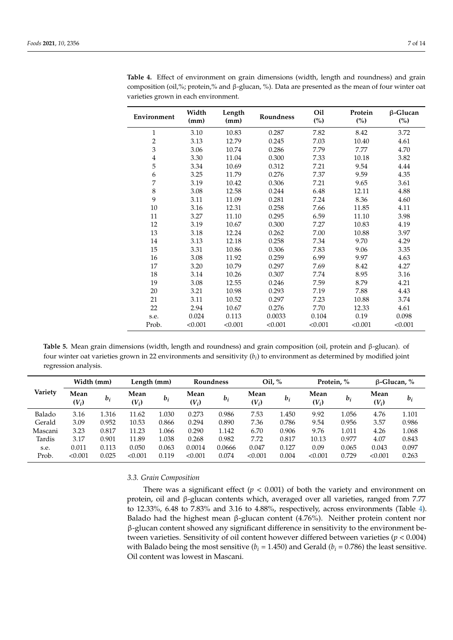| Environment             | Width<br>(mm) | Length<br>(mm) | Roundness | Oil<br>(%) | Protein<br>$\binom{0}{0}$ | $\beta$ -Glucan<br>(%) |
|-------------------------|---------------|----------------|-----------|------------|---------------------------|------------------------|
| $\mathbf{1}$            | 3.10          | 10.83          | 0.287     | 7.82       | 8.42                      | 3.72                   |
| $\overline{c}$          | 3.13          | 12.79          | 0.245     | 7.03       | 10.40                     | 4.61                   |
| 3                       | 3.06          | 10.74          | 0.286     | 7.79       | 7.77                      | 4.70                   |
| $\overline{\mathbf{4}}$ | 3.30          | 11.04          | 0.300     | 7.33       | 10.18                     | 3.82                   |
| 5                       | 3.34          | 10.69          | 0.312     | 7.21       | 9.54                      | 4.44                   |
| 6                       | 3.25          | 11.79          | 0.276     | 7.37       | 9.59                      | 4.35                   |
| 7                       | 3.19          | 10.42          | 0.306     | 7.21       | 9.65                      | 3.61                   |
| $\,$ 8 $\,$             | 3.08          | 12.58          | 0.244     | 6.48       | 12.11                     | 4.88                   |
| 9                       | 3.11          | 11.09          | 0.281     | 7.24       | 8.36                      | 4.60                   |
| $10\,$                  | 3.16          | 12.31          | 0.258     | 7.66       | 11.85                     | 4.11                   |
| 11                      | 3.27          | 11.10          | 0.295     | 6.59       | 11.10                     | 3.98                   |
| 12                      | 3.19          | 10.67          | 0.300     | 7.27       | 10.83                     | 4.19                   |
| 13                      | 3.18          | 12.24          | 0.262     | 7.00       | 10.88                     | 3.97                   |
| 14                      | 3.13          | 12.18          | 0.258     | 7.34       | 9.70                      | 4.29                   |
| 15                      | 3.31          | 10.86          | 0.306     | 7.83       | 9.06                      | 3.35                   |
| 16                      | 3.08          | 11.92          | 0.259     | 6.99       | 9.97                      | 4.63                   |
| 17                      | 3.20          | 10.79          | 0.297     | 7.69       | 8.42                      | 4.27                   |
| 18                      | 3.14          | 10.26          | 0.307     | 7.74       | 8.95                      | 3.16                   |
| 19                      | 3.08          | 12.55          | 0.246     | 7.59       | 8.79                      | 4.21                   |
| 20                      | 3.21          | 10.98          | 0.293     | 7.19       | 7.88                      | 4.43                   |
| 21                      | 3.11          | 10.52          | 0.297     | 7.23       | 10.88                     | 3.74                   |
| 22                      | 2.94          | 10.67          | 0.276     | 7.70       | 12.33                     | 4.61                   |
| s.e.                    | 0.024         | 0.113          | 0.0033    | 0.104      | 0.19                      | 0.098                  |
| Prob.                   | < 0.001       | < 0.001        | < 0.001   | < 0.001    | < 0.001                   | < 0.001                |

<span id="page-7-0"></span>**Table 4.** Effect of environment on grain dimensions (width, length and roundness) and grain composition (oil,%; protein,% and β-glucan, %). Data are presented as the mean of four winter oat varieties grown in each environment.

<span id="page-7-1"></span>**Table 5.** Mean grain dimensions (width, length and roundness) and grain composition (oil, protein and β-glucan). of four winter oat varieties grown in 22 environments and sensitivity (*b<sup>i</sup>* ) to environment as determined by modified joint regression analysis.

| Variety | Width (mm)      |       | Length (mm)     |       | <b>Roundness</b> |        | Oil, $%$        |       | Protein, %      |       | $\beta$ -Glucan, % |       |
|---------|-----------------|-------|-----------------|-------|------------------|--------|-----------------|-------|-----------------|-------|--------------------|-------|
|         | Mean<br>$(V_i)$ | $b_i$ | Mean<br>$(V_i)$ | $b_i$ | Mean<br>$(V_i)$  | $b_i$  | Mean<br>$(V_i)$ | $b_i$ | Mean<br>$(V_i)$ | $b_i$ | Mean<br>$(V_i)$    | $b_i$ |
| Balado  | 3.16            | 1.316 | 11.62           | 1.030 | 0.273            | 0.986  | 7.53            | 1.450 | 9.92            | 1.056 | 4.76               | 1.101 |
| Gerald  | 3.09            | 0.952 | 10.53           | 0.866 | 0.294            | 0.890  | 7.36            | 0.786 | 9.54            | 0.956 | 3.57               | 0.986 |
| Mascani | 3.23            | 0.817 | 11.23           | 1.066 | 0.290            | 1.142  | 6.70            | 0.906 | 9.76            | 1.011 | 4.26               | 1.068 |
| Tardis  | 3.17            | 0.901 | 11.89           | 1.038 | 0.268            | 0.982  | 7.72            | 0.817 | 10.13           | 0.977 | 4.07               | 0.843 |
| s.e.    | 0.011           | 0.113 | 0.050           | 0.063 | 0.0014           | 0.0666 | 0.047           | 0.127 | 0.09            | 0.065 | 0.043              | 0.097 |
| Prob.   | < 0.001         | 0.025 | < 0.001         | 0.119 | < 0.001          | 0.074  | < 0.001         | 0.004 | < 0.001         | 0.729 | < 0.001            | 0.263 |

## *3.3. Grain Composition*

There was a significant effect  $(p < 0.001)$  of both the variety and environment on protein, oil and β-glucan contents which, averaged over all varieties, ranged from 7.77 to 12.33%, 6.48 to 7.83% and 3.16 to 4.88%, respectively, across environments (Table [4\)](#page-7-0). Balado had the highest mean  $\beta$ -glucan content (4.76%). Neither protein content nor β-glucan content showed any significant difference in sensitivity to the environment between varieties. Sensitivity of oil content however differed between varieties (*p* < 0.004) with Balado being the most sensitive ( $b_i$  = 1.450) and Gerald ( $b_i$  = 0.786) the least sensitive. Oil content was lowest in Mascani.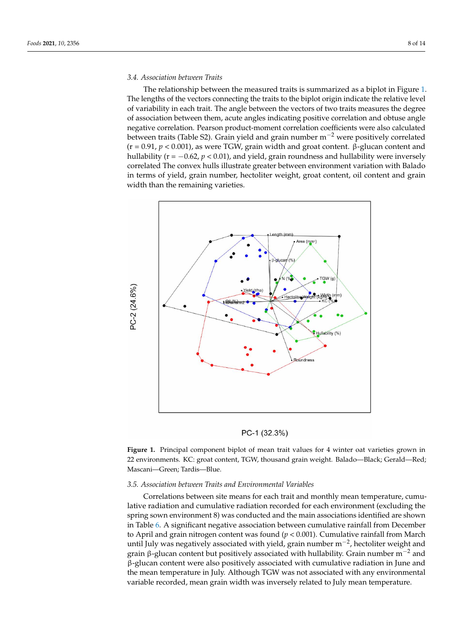# *3.4. Association between Traits 3.4. Association between Traits*

The relationship between the measured traits is summarized as a biplot in Figure [1.](#page-8-0) The relationship between the measured traits is summarized as a biplot in Figure 1. The lengths of the vectors connecting the traits to the biplot origin indicate the relative level The lengths of the vectors connecting the traits to the biplot origin indicate the relative of variability in each trait. The angle between the vectors of two traits measures the degree of association between them, acute angles indicating positive correlation and obtuse angle negative correlation. Pearson product-moment correlation coefficients were also calculated between traits (Table S2). Grain yield and grain number m<sup>−2</sup> were positively correlated  $(r = 0.91, p < 0.001)$ , as were TGW, grain width and groat content. β-glucan content and hullability (r = −0.62, *p* < 0.01), and yield, grain roundness and hullability were inversely correlated The convex hulls illustrate greater between environment variation with Balado in terms of yield, grain number, hectoliter weight, groat content, oil content and grain width than the remaining varieties.

<span id="page-8-0"></span>

PC-1 (32.3%)

Figure 1. Principal component biplot of mean trait values for 4 winter oat varieties grown in 22 environments. KC: groat content, TGW, thousand grain weight. Balado—Black; Gerald—Red; cani—Green; Tardis—Blue. Mascani—Green; Tardis—Blue.

#### *3.5. Association between Traits and Environmental Variables*

Correlations between site means for each trait and monthly mean temperature, cumulative radiation and cumulative radiation recorded for each environment (excluding the spring sown environment 8) was conducted and the main associations identified are shown in Table [6.](#page-9-0) A significant negative association between cumulative rainfall from December to April and grain nitrogen content was found (*p* < 0.001). Cumulative rainfall from March until July was negatively associated with yield, grain number  $m^{-2}$ , hectoliter weight and grain β-glucan content but positively associated with hullability. Grain number  $m^{-2}$  and β-glucan content were also positively associated with cumulative radiation in June and the mean temperature in July. Although TGW was not associated with any environmental variable recorded, mean grain width was inversely related to July mean temperature.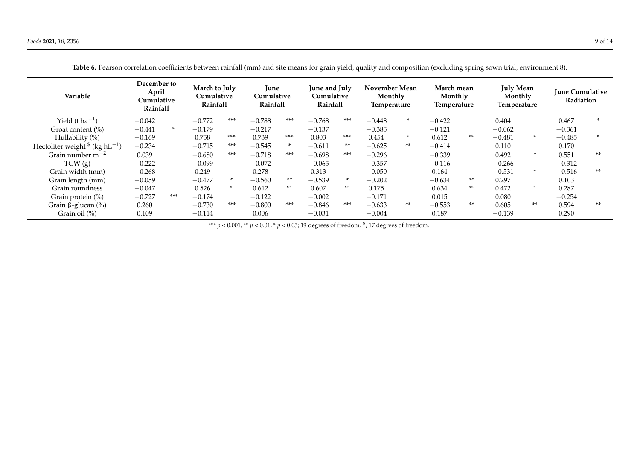<span id="page-9-0"></span>

| Variable                                               | December to<br>April<br>Cumulative<br><b>Rainfall</b> |        | March to July<br>Cumulative<br>Rainfall |        | June<br>Cumulative<br>Rainfall |        | June and July<br>Cumulative<br>Rainfall |       | November Mean<br>Monthly<br><b>Temperature</b> |        | March mean<br>Monthly<br>Temperature |       | <b>July Mean</b><br>Monthly<br><b>Temperature</b> |        | <b>June Cumulative</b><br>Radiation |       |
|--------------------------------------------------------|-------------------------------------------------------|--------|-----------------------------------------|--------|--------------------------------|--------|-----------------------------------------|-------|------------------------------------------------|--------|--------------------------------------|-------|---------------------------------------------------|--------|-------------------------------------|-------|
| Yield $(t \, ha^{-1})$                                 | $-0.042$                                              |        | $-0.772$                                | $***$  | $-0.788$                       | $***$  | $-0.768$                                | ***   | $-0.448$                                       | $\ast$ | $-0.422$                             |       | 0.404                                             |        | 0.467                               |       |
| Groat content (%)                                      | $-0.441$                                              | $\ast$ | $-0.179$                                |        | $-0.217$                       |        | $-0.137$                                |       | $-0.385$                                       |        | $-0.121$                             |       | $-0.062$                                          |        | $-0.361$                            |       |
| Hullability $(\%)$                                     | $-0.169$                                              |        | 0.758                                   | ***    | 0.739                          | ***    | 0.803                                   | $***$ | 0.454                                          | $\ast$ | 0.612                                | $***$ | $-0.481$                                          | $\ast$ | $-0.485$                            |       |
| Hectoliter weight $\frac{1}{2}$ (kg hL <sup>-1</sup> ) | $-0.234$                                              |        | $-0.715$                                | $***$  | $-0.545$                       | $\ast$ | $-0.611$                                | $***$ | $-0.625$                                       | $***$  | $-0.414$                             |       | 0.110                                             |        | 0.170                               |       |
| Grain number $m^{-2}$                                  | 0.039                                                 |        | $-0.680$                                | $***$  | $-0.718$                       | $***$  | $-0.698$                                | ***   | $-0.296$                                       |        | $-0.339$                             |       | 0.492                                             | $\ast$ | 0.551                               | $**$  |
| TGW(g)                                                 | $-0.222$                                              |        | $-0.099$                                |        | $-0.072$                       |        | $-0.065$                                |       | $-0.357$                                       |        | $-0.116$                             |       | $-0.266$                                          |        | $-0.312$                            |       |
| Grain width (mm)                                       | $-0.268$                                              |        | 0.249                                   |        | 0.278                          |        | 0.313                                   |       | $-0.050$                                       |        | 0.164                                |       | $-0.531$                                          | $\ast$ | $-0.516$                            | $***$ |
| Grain length (mm)                                      | $-0.059$                                              |        | $-0.477$                                | $\ast$ | $-0.560$                       | **     | $-0.539$                                |       | $-0.202$                                       |        | $-0.634$                             | $***$ | 0.297                                             |        | 0.103                               |       |
| Grain roundness                                        | $-0.047$                                              |        | 0.526                                   | $\ast$ | 0.612                          | $***$  | 0.607                                   | $***$ | 0.175                                          |        | 0.634                                | $***$ | 0.472                                             | $\ast$ | 0.287                               |       |
| Grain protein $(\%)$                                   | $-0.727$                                              | ***    | $-0.174$                                |        | $-0.122$                       |        | $-0.002$                                |       | $-0.171$                                       |        | 0.015                                |       | 0.080                                             |        | $-0.254$                            |       |
| Grain $\beta$ -glucan (%)                              | 0.260                                                 |        | $-0.730$                                | ***    | $-0.800$                       | ***    | $-0.846$                                | ***   | $-0.633$                                       | **     | $-0.553$                             | **    | 0.605                                             | **     | 0.594                               | $***$ |
| Grain oil $(\%)$                                       | 0.109                                                 |        | $-0.114$                                |        | 0.006                          |        | $-0.031$                                |       | $-0.004$                                       |        | 0.187                                |       | $-0.139$                                          |        | 0.290                               |       |

**Table 6.** Pearson correlation coefficients between rainfall (mm) and site means for grain yield, quality and composition (excluding spring sown trial, environment 8).

\*\*\* *p* < 0.001, \*\* *p* < 0.01, \* *p* < 0.05; 19 degrees of freedom. \$ , 17 degrees of freedom.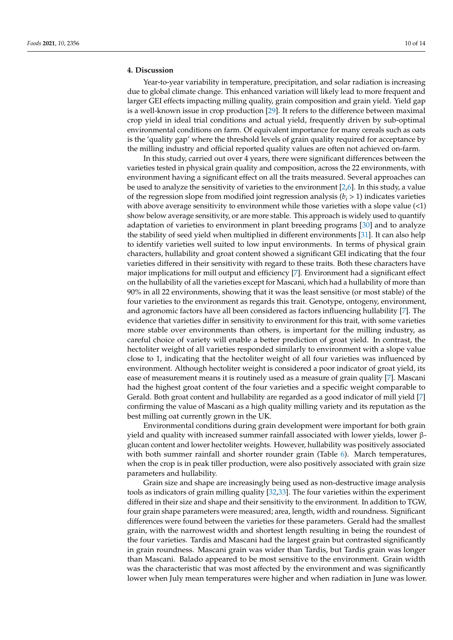## **4. Discussion**

Year-to-year variability in temperature, precipitation, and solar radiation is increasing due to global climate change. This enhanced variation will likely lead to more frequent and larger GEI effects impacting milling quality, grain composition and grain yield. Yield gap is a well-known issue in crop production [\[29\]](#page-13-19). It refers to the difference between maximal crop yield in ideal trial conditions and actual yield, frequently driven by sub-optimal environmental conditions on farm. Of equivalent importance for many cereals such as oats is the 'quality gap' where the threshold levels of grain quality required for acceptance by the milling industry and official reported quality values are often not achieved on-farm.

In this study, carried out over 4 years, there were significant differences between the varieties tested in physical grain quality and composition, across the 22 environments, with environment having a significant effect on all the traits measured. Several approaches can be used to analyze the sensitivity of varieties to the environment [\[2](#page-12-1)[,6\]](#page-12-5). In this study, a value of the regression slope from modified joint regression analysis  $(b_i > 1)$  indicates varieties with above average sensitivity to environment while those varieties with a slope value  $\left($ <1) show below average sensitivity, or are more stable. This approach is widely used to quantify adaptation of varieties to environment in plant breeding programs [\[30\]](#page-13-20) and to analyze the stability of seed yield when multiplied in different environments [\[31\]](#page-13-21). It can also help to identify varieties well suited to low input environments. In terms of physical grain characters, hullability and groat content showed a significant GEI indicating that the four varieties differed in their sensitivity with regard to these traits. Both these characters have major implications for mill output and efficiency [\[7\]](#page-12-6). Environment had a significant effect on the hullability of all the varieties except for Mascani, which had a hullability of more than 90% in all 22 environments, showing that it was the least sensitive (or most stable) of the four varieties to the environment as regards this trait. Genotype, ontogeny, environment, and agronomic factors have all been considered as factors influencing hullability [\[7\]](#page-12-6). The evidence that varieties differ in sensitivity to environment for this trait, with some varieties more stable over environments than others, is important for the milling industry, as careful choice of variety will enable a better prediction of groat yield. In contrast, the hectoliter weight of all varieties responded similarly to environment with a slope value close to 1, indicating that the hectoliter weight of all four varieties was influenced by environment. Although hectoliter weight is considered a poor indicator of groat yield, its ease of measurement means it is routinely used as a measure of grain quality [\[7\]](#page-12-6). Mascani had the highest groat content of the four varieties and a specific weight comparable to Gerald. Both groat content and hullability are regarded as a good indicator of mill yield [\[7\]](#page-12-6) confirming the value of Mascani as a high quality milling variety and its reputation as the best milling oat currently grown in the UK.

Environmental conditions during grain development were important for both grain yield and quality with increased summer rainfall associated with lower yields, lower βglucan content and lower hectoliter weights. However, hullability was positively associated with both summer rainfall and shorter rounder grain (Table [6\)](#page-9-0). March temperatures, when the crop is in peak tiller production, were also positively associated with grain size parameters and hullability.

Grain size and shape are increasingly being used as non-destructive image analysis tools as indicators of grain milling quality [\[32](#page-13-22)[,33\]](#page-13-23). The four varieties within the experiment differed in their size and shape and their sensitivity to the environment. In addition to TGW, four grain shape parameters were measured; area, length, width and roundness. Significant differences were found between the varieties for these parameters. Gerald had the smallest grain, with the narrowest width and shortest length resulting in being the roundest of the four varieties. Tardis and Mascani had the largest grain but contrasted significantly in grain roundness. Mascani grain was wider than Tardis, but Tardis grain was longer than Mascani. Balado appeared to be most sensitive to the environment. Grain width was the characteristic that was most affected by the environment and was significantly lower when July mean temperatures were higher and when radiation in June was lower.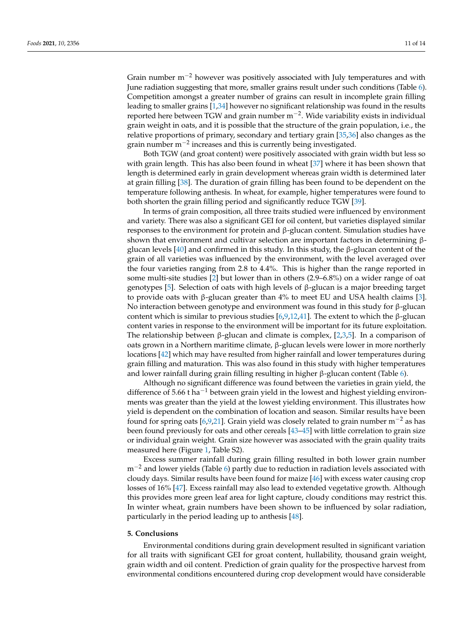Grain number  $m^{-2}$  however was positively associated with July temperatures and with June radiation suggesting that more, smaller grains result under such conditions (Table [6\)](#page-9-0). Competition amongst a greater number of grains can result in incomplete grain filling leading to smaller grains [\[1](#page-12-0)[,34\]](#page-13-24) however no significant relationship was found in the results reported here between TGW and grain number m−<sup>2</sup> . Wide variability exists in individual grain weight in oats, and it is possible that the structure of the grain population, i.e., the relative proportions of primary, secondary and tertiary grain [\[35](#page-13-25)[,36\]](#page-13-26) also changes as the grain number m<sup>-2</sup> increases and this is currently being investigated.

Both TGW (and groat content) were positively associated with grain width but less so with grain length. This has also been found in wheat [\[37\]](#page-13-27) where it has been shown that length is determined early in grain development whereas grain width is determined later at grain filling [\[38\]](#page-13-28). The duration of grain filling has been found to be dependent on the temperature following anthesis. In wheat, for example, higher temperatures were found to both shorten the grain filling period and significantly reduce TGW [\[39\]](#page-13-29).

In terms of grain composition, all three traits studied were influenced by environment and variety. There was also a significant GEI for oil content, but varieties displayed similar responses to the environment for protein and β-glucan content. Simulation studies have shown that environment and cultivar selection are important factors in determining βglucan levels  $[40]$  and confirmed in this study. In this study, the  $\beta$ -glucan content of the grain of all varieties was influenced by the environment, with the level averaged over the four varieties ranging from 2.8 to 4.4%. This is higher than the range reported in some multi-site studies [\[2\]](#page-12-1) but lower than in others (2.9–6.8%) on a wider range of oat genotypes [\[5\]](#page-12-4). Selection of oats with high levels of β-glucan is a major breeding target to provide oats with β-glucan greater than  $4%$  to meet EU and USA health claims [\[3\]](#page-12-2). No interaction between genotype and environment was found in this study for β-glucan content which is similar to previous studies [\[6](#page-12-5)[,9,](#page-12-8)[12,](#page-13-2)[41\]](#page-14-1). The extent to which the β-glucan content varies in response to the environment will be important for its future exploitation. The relationship between β-glucan and climate is complex, [\[2](#page-12-1)[,3](#page-12-2)[,5\]](#page-12-4). In a comparison of oats grown in a Northern maritime climate, β-glucan levels were lower in more northerly locations [\[42\]](#page-14-2) which may have resulted from higher rainfall and lower temperatures during grain filling and maturation. This was also found in this study with higher temperatures and lower rainfall during grain filling resulting in higher β-glucan content (Table [6\)](#page-9-0).

Although no significant difference was found between the varieties in grain yield, the difference of 5.66 t ha<sup>-1</sup> between grain yield in the lowest and highest yielding environments was greater than the yield at the lowest yielding environment. This illustrates how yield is dependent on the combination of location and season. Similar results have been found for spring oats [\[6,](#page-12-5)[9,](#page-12-8)[21\]](#page-13-11). Grain yield was closely related to grain number  $m^{-2}$  as has been found previously for oats and other cereals [\[43](#page-14-3)[–45\]](#page-14-4) with little correlation to grain size or individual grain weight. Grain size however was associated with the grain quality traits measured here (Figure [1,](#page-8-0) Table S2).

Excess summer rainfall during grain filling resulted in both lower grain number m<sup>-2</sup> and lower yields (Table [6\)](#page-9-0) partly due to reduction in radiation levels associated with cloudy days. Similar results have been found for maize [\[46\]](#page-14-5) with excess water causing crop losses of 16% [\[47\]](#page-14-6). Excess rainfall may also lead to extended vegetative growth. Although this provides more green leaf area for light capture, cloudy conditions may restrict this. In winter wheat, grain numbers have been shown to be influenced by solar radiation, particularly in the period leading up to anthesis [\[48\]](#page-14-7).

#### **5. Conclusions**

Environmental conditions during grain development resulted in significant variation for all traits with significant GEI for groat content, hullability, thousand grain weight, grain width and oil content. Prediction of grain quality for the prospective harvest from environmental conditions encountered during crop development would have considerable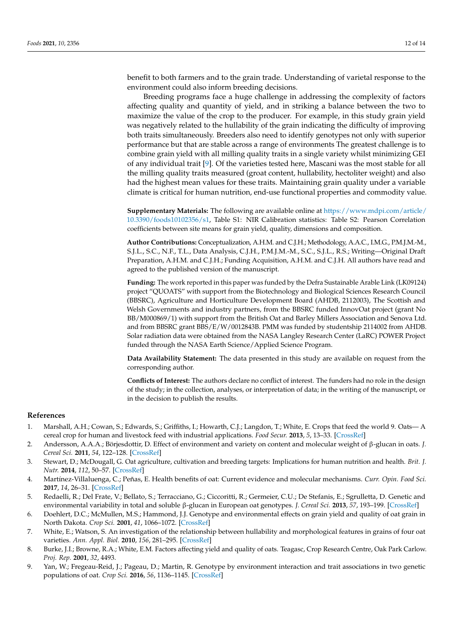benefit to both farmers and to the grain trade. Understanding of varietal response to the environment could also inform breeding decisions.

Breeding programs face a huge challenge in addressing the complexity of factors affecting quality and quantity of yield, and in striking a balance between the two to maximize the value of the crop to the producer. For example, in this study grain yield was negatively related to the hullability of the grain indicating the difficulty of improving both traits simultaneously. Breeders also need to identify genotypes not only with superior performance but that are stable across a range of environments The greatest challenge is to combine grain yield with all milling quality traits in a single variety whilst minimizing GEI of any individual trait [\[9\]](#page-12-8). Of the varieties tested here, Mascani was the most stable for all the milling quality traits measured (groat content, hullability, hectoliter weight) and also had the highest mean values for these traits. Maintaining grain quality under a variable climate is critical for human nutrition, end-use functional properties and commodity value.

**Supplementary Materials:** The following are available online at [https://www.mdpi.com/article/](https://www.mdpi.com/article/10.3390/foods10102356/s1) [10.3390/foods10102356/s1,](https://www.mdpi.com/article/10.3390/foods10102356/s1) Table S1: NIR Calibration statistics: Table S2: Pearson Correlation coefficients between site means for grain yield, quality, dimensions and composition.

**Author Contributions:** Conceptualization, A.H.M. and C.J.H.; Methodology, A.A.C., I.M.G., P.M.J.M.-M., S.J.L., S.C., N.F., T.L., Data Analysis, C.J.H., P.M.J.M.-M., S.C., S.J.L., R.S.; Writing—Original Draft Preparation, A.H.M. and C.J.H.; Funding Acquisition, A.H.M. and C.J.H. All authors have read and agreed to the published version of the manuscript.

**Funding:** The work reported in this paper was funded by the Defra Sustainable Arable Link (LK09124) project "QUOATS" with support from the Biotechnology and Biological Sciences Research Council (BBSRC), Agriculture and Horticulture Development Board (AHDB, 2112003), The Scottish and Welsh Governments and industry partners, from the BBSRC funded InnovOat project (grant No BB/M000869/1) with support from the British Oat and Barley Millers Association and Senova Ltd. and from BBSRC grant BBS/E/W/0012843B. PMM was funded by studentship 2114002 from AHDB. Solar radiation data were obtained from the NASA Langley Research Center (LaRC) POWER Project funded through the NASA Earth Science/Applied Science Program.

**Data Availability Statement:** The data presented in this study are available on request from the corresponding author.

**Conflicts of Interest:** The authors declare no conflict of interest. The funders had no role in the design of the study; in the collection, analyses, or interpretation of data; in the writing of the manuscript, or in the decision to publish the results.

#### **References**

- <span id="page-12-0"></span>1. Marshall, A.H.; Cowan, S.; Edwards, S.; Griffiths, I.; Howarth, C.J.; Langdon, T.; White, E. Crops that feed the world 9. Oats— A cereal crop for human and livestock feed with industrial applications. *Food Secur.* **2013**, *5*, 13–33. [\[CrossRef\]](http://doi.org/10.1007/s12571-012-0232-x)
- <span id="page-12-1"></span>2. Andersson, A.A.A.; Börjesdottir, D. Effect of environment and variety on content and molecular weight of β-glucan in oats. *J. Cereal Sci.* **2011**, *54*, 122–128. [\[CrossRef\]](http://doi.org/10.1016/j.jcs.2011.03.003)
- <span id="page-12-2"></span>3. Stewart, D.; McDougall, G. Oat agriculture, cultivation and breeding targets: Implications for human nutrition and health. *Brit. J. Nutr.* **2014**, *112*, 50–57. [\[CrossRef\]](http://doi.org/10.1017/S0007114514002736)
- <span id="page-12-3"></span>4. Martínez-Villaluenga, C.; Peñas, E. Health benefits of oat: Current evidence and molecular mechanisms. *Curr. Opin. Food Sci.* **2017**, *14*, 26–31. [\[CrossRef\]](http://doi.org/10.1016/j.cofs.2017.01.004)
- <span id="page-12-4"></span>5. Redaelli, R.; Del Frate, V.; Bellato, S.; Terracciano, G.; Ciccoritti, R.; Germeier, C.U.; De Stefanis, E.; Sgrulletta, D. Genetic and environmental variability in total and soluble β-glucan in European oat genotypes. *J. Cereal Sci.* **2013**, *57*, 193–199. [\[CrossRef\]](http://doi.org/10.1016/j.jcs.2012.09.003)
- <span id="page-12-5"></span>6. Doehlert, D.C.; McMullen, M.S.; Hammond, J.J. Genotype and environmental effects on grain yield and quality of oat grain in North Dakota. *Crop Sci.* **2001**, *41*, 1066–1072. [\[CrossRef\]](http://doi.org/10.2135/cropsci2001.4141066x)
- <span id="page-12-6"></span>7. White, E.; Watson, S. An investigation of the relationship between hullability and morphological features in grains of four oat varieties. *Ann. Appl. Biol.* **2010**, *156*, 281–295. [\[CrossRef\]](http://doi.org/10.1111/j.1744-7348.2009.00386.x)
- <span id="page-12-7"></span>8. Burke, J.I.; Browne, R.A.; White, E.M. Factors affecting yield and quality of oats. Teagasc, Crop Research Centre, Oak Park Carlow. *Proj. Rep.* **2001**, *32*, 4493.
- <span id="page-12-8"></span>9. Yan, W.; Fregeau-Reid, J.; Pageau, D.; Martin, R. Genotype by environment interaction and trait associations in two genetic populations of oat. *Crop Sci.* **2016**, *56*, 1136–1145. [\[CrossRef\]](http://doi.org/10.2135/cropsci2015.11.0678)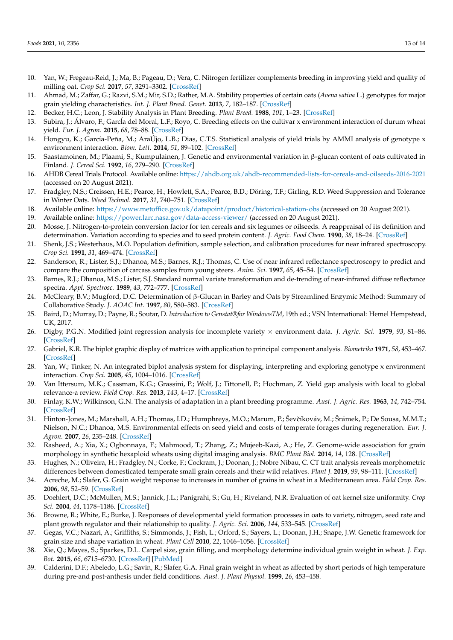- <span id="page-13-0"></span>10. Yan, W.; Fregeau-Reid, J.; Ma, B.; Pageau, D.; Vera, C. Nitrogen fertilizer complements breeding in improving yield and quality of milling oat. *Crop Sci.* **2017**, *57*, 3291–3302. [\[CrossRef\]](http://doi.org/10.2135/cropsci2017.05.0290)
- <span id="page-13-1"></span>11. Ahmad, M.; Zaffar, G.; Razvi, S.M.; Mir, S.D.; Rather, M.A. Stability properties of certain oats (*Avena sativa* L.) genotypes for major grain yielding characteristics. *Int. J. Plant Breed. Genet.* **2013**, *7*, 182–187. [\[CrossRef\]](http://doi.org/10.3923/ijpbg.2013.182.187)
- <span id="page-13-2"></span>12. Becker, H.C.; Leon, J. Stability Analysis in Plant Breeding. *Plant Breed.* **1988**, *101*, 1–23. [\[CrossRef\]](http://doi.org/10.1111/j.1439-0523.1988.tb00261.x)
- <span id="page-13-3"></span>13. Subira, J.; Álvaro, F.; García del Moral, L.F.; Royo, C. Breeding effects on the cultivar x environment interaction of durum wheat yield. *Eur. J. Agron.* **2015**, *68*, 78–88. [\[CrossRef\]](http://doi.org/10.1016/j.eja.2015.04.009)
- <span id="page-13-4"></span>14. Hongyu, K.; García-Peña, M.; AraÚjo, L.B.; Dias, C.T.S. Statistical analysis of yield trials by AMMI analysis of genotype x environment interaction. *Biom. Lett.* **2014**, *51*, 89–102. [\[CrossRef\]](http://doi.org/10.2478/bile-2014-0007)
- <span id="page-13-5"></span>15. Saastamoinen, M.; Plaami, S.; Kumpulainen, J. Genetic and environmental variation in β-glucan content of oats cultivated in Finland. *J. Cereal Sci.* **1992**, *16*, 279–290. [\[CrossRef\]](http://doi.org/10.1016/S0733-5210(09)80090-8)
- <span id="page-13-6"></span>16. AHDB Cereal Trials Protocol. Available online: <https://ahdb.org.uk/ahdb-recommended-lists-for-cereals-and-oilseeds-2016-2021> (accessed on 20 August 2021).
- <span id="page-13-7"></span>17. Fradgley, N.S.; Creissen, H.E.; Pearce, H.; Howlett, S.A.; Pearce, B.D.; Döring, T.F.; Girling, R.D. Weed Suppression and Tolerance in Winter Oats. *Weed Technol.* **2017**, *31*, 740–751. [\[CrossRef\]](http://doi.org/10.1017/wet.2017.46)
- <span id="page-13-8"></span>18. Available online: <https://www.metoffice.gov.uk/datapoint/product/historical-station-obs> (accessed on 20 August 2021).
- <span id="page-13-9"></span>19. Available online: <https://power.larc.nasa.gov/data-access-viewer/> (accessed on 20 August 2021).
- <span id="page-13-10"></span>20. Mosse, J. Nitrogen-to-protein conversion factor for ten cereals and six legumes or oilseeds. A reappraisal of its definition and determination. Variation according to species and to seed protein content. *J. Agric. Food Chem.* **1990**, *38*, 18–24. [\[CrossRef\]](http://doi.org/10.1021/jf00091a004)
- <span id="page-13-11"></span>21. Shenk, J.S.; Westerhaus, M.O. Population definition, sample selection, and calibration procedures for near infrared spectroscopy. *Crop Sci.* **1991**, *31*, 469–474. [\[CrossRef\]](http://doi.org/10.2135/cropsci1991.0011183X003100020049x)
- <span id="page-13-12"></span>22. Sanderson, R.; Lister, S.J.; Dhanoa, M.S.; Barnes, R.J.; Thomas, C. Use of near infrared reflectance spectroscopy to predict and compare the composition of carcass samples from young steers. *Anim. Sci.* **1997**, *65*, 45–54. [\[CrossRef\]](http://doi.org/10.1017/S1357729800016283)
- <span id="page-13-13"></span>23. Barnes, R.J.; Dhanoa, M.S.; Lister, S.J. Standard normal variate transformation and de-trending of near-infrared diffuse reflectance spectra. *Appl. Spectrosc.* **1989**, *43*, 772–777. [\[CrossRef\]](http://doi.org/10.1366/0003702894202201)
- <span id="page-13-14"></span>24. McCleary, B.V.; Mugford, D.C. Determination of β-Glucan in Barley and Oats by Streamlined Enzymic Method: Summary of Collaborative Study. *J. AOAC Int.* **1997**, *80*, 580–583. [\[CrossRef\]](http://doi.org/10.1093/jaoac/80.3.580)
- <span id="page-13-15"></span>25. Baird, D.; Murray, D.; Payne, R.; Soutar, D. *Introduction to Genstat®for WindowsTM*, 19th ed.; VSN International: Hemel Hempstead, UK, 2017.
- <span id="page-13-16"></span>26. Digby, P.G.N. Modified joint regression analysis for incomplete variety × environment data. *J. Agric. Sci.* **1979**, *93*, 81–86. [\[CrossRef\]](http://doi.org/10.1017/S0021859600086159)
- <span id="page-13-17"></span>27. Gabriel, K.R. The biplot graphic display of matrices with application to principal component analysis. *Biometrika* **1971**, *58*, 453–467. [\[CrossRef\]](http://doi.org/10.1093/biomet/58.3.453)
- <span id="page-13-18"></span>28. Yan, W.; Tinker, N. An integrated biplot analysis system for displaying, interpreting and exploring genotype x environment interaction. *Crop Sci.* **2005**, *45*, 1004–1016. [\[CrossRef\]](http://doi.org/10.2135/cropsci2004.0076)
- <span id="page-13-19"></span>29. Van Ittersum, M.K.; Cassman, K.G.; Grassini, P.; Wolf, J.; Tittonell, P.; Hochman, Z. Yield gap analysis with local to global relevance-a review. *Field Crop. Res.* **2013**, *143*, 4–17. [\[CrossRef\]](http://doi.org/10.1016/j.fcr.2012.09.009)
- <span id="page-13-20"></span>30. Finlay, K.W.; Wilkinson, G.N. The analysis of adaptation in a plant breeding programme. *Aust. J. Agric. Res.* **1963**, *14*, 742–754. [\[CrossRef\]](http://doi.org/10.1071/AR9630742)
- <span id="page-13-21"></span>31. Hinton-Jones, M.; Marshall, A.H.; Thomas, I.D.; Humphreys, M.O.; Marum, P.; Ševčíkováv, M.; Šrámek, P.; De Sousa, M.M.T.; Nielson, N.C.; Dhanoa, M.S. Environmental effects on seed yield and costs of temperate forages during regeneration. *Eur. J. Agron.* **2007**, *26*, 235–248. [\[CrossRef\]](http://doi.org/10.1016/j.eja.2006.10.006)
- <span id="page-13-22"></span>32. Rasheed, A.; Xia, X.; Ogbonnaya, F.; Mahmood, T.; Zhang, Z.; Mujeeb-Kazi, A.; He, Z. Genome-wide association for grain morphology in synthetic hexaploid wheats using digital imaging analysis. *BMC Plant Biol.* **2014**, *14*, 128. [\[CrossRef\]](http://doi.org/10.1186/1471-2229-14-128)
- <span id="page-13-23"></span>33. Hughes, N.; Oliveira, H.; Fradgley, N.; Corke, F.; Cockram, J.; Doonan, J.; Nobre Nibau, C. CT trait analysis reveals morphometric differences between domesticated temperate small grain cereals and their wild relatives. *Plant J.* **2019**, *99*, 98–111. [\[CrossRef\]](http://doi.org/10.1111/tpj.14312)
- <span id="page-13-24"></span>34. Acreche, M.; Slafer, G. Grain weight response to increases in number of grains in wheat in a Mediterranean area. *Field Crop. Res.* **2006**, *98*, 52–59. [\[CrossRef\]](http://doi.org/10.1016/j.fcr.2005.12.005)
- <span id="page-13-25"></span>35. Doehlert, D.C.; McMullen, M.S.; Jannick, J.L.; Panigrahi, S.; Gu, H.; Riveland, N.R. Evaluation of oat kernel size uniformity. *Crop Sci.* **2004**, *44*, 1178–1186. [\[CrossRef\]](http://doi.org/10.2135/cropsci2004.1178)
- <span id="page-13-26"></span>36. Browne, R.; White, E.; Burke, J. Responses of developmental yield formation processes in oats to variety, nitrogen, seed rate and plant growth regulator and their relationship to quality. *J. Agric. Sci.* **2006**, *144*, 533–545. [\[CrossRef\]](http://doi.org/10.1017/S0021859606006538)
- <span id="page-13-27"></span>37. Gegas, V.C.; Nazari, A.; Griffiths, S.; Simmonds, J.; Fish, L.; Orford, S.; Sayers, L.; Doonan, J.H.; Snape, J.W. Genetic framework for grain size and shape variation in wheat. *Plant Cell* **2010**, *22*, 1046–1056. [\[CrossRef\]](http://doi.org/10.1105/tpc.110.074153)
- <span id="page-13-28"></span>38. Xie, Q.; Mayes, S.; Sparkes, D.L. Carpel size, grain filling, and morphology determine individual grain weight in wheat. *J. Exp. Bot.* **2015**, *66*, 6715–6730. [\[CrossRef\]](http://doi.org/10.1093/jxb/erv378) [\[PubMed\]](http://www.ncbi.nlm.nih.gov/pubmed/26246614)
- <span id="page-13-29"></span>39. Calderini, D.F.; Abeledo, L.G.; Savin, R.; Slafer, G.A. Final grain weight in wheat as affected by short periods of high temperature during pre-and post-anthesis under field conditions. *Aust. J. Plant Physiol.* **1999**, *26*, 453–458.